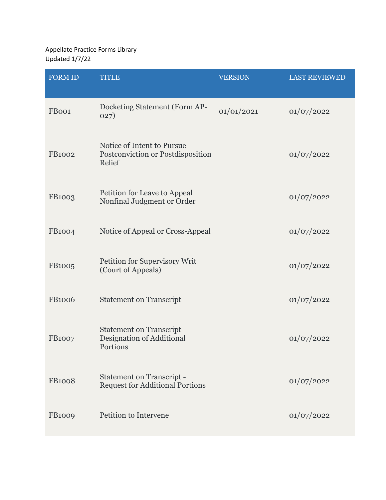Appellate Practice Forms Library Updated 1/7/22

| <b>FORM ID</b> | <b>TITLE</b>                                                               | <b>VERSION</b> | <b>LAST REVIEWED</b> |
|----------------|----------------------------------------------------------------------------|----------------|----------------------|
| FB001          | Docketing Statement (Form AP-<br>027)                                      | 01/01/2021     | 01/07/2022           |
| <b>FB1002</b>  | Notice of Intent to Pursue<br>Postconviction or Postdisposition<br>Relief  |                | 01/07/2022           |
| FB1003         | Petition for Leave to Appeal<br>Nonfinal Judgment or Order                 |                | 01/07/2022           |
| <b>FB1004</b>  | Notice of Appeal or Cross-Appeal                                           |                | 01/07/2022           |
| FB1005         | Petition for Supervisory Writ<br>(Court of Appeals)                        |                | 01/07/2022           |
| <b>FB1006</b>  | <b>Statement on Transcript</b>                                             |                | 01/07/2022           |
| <b>FB1007</b>  | <b>Statement on Transcript -</b><br>Designation of Additional<br>Portions  |                | 01/07/2022           |
| <b>FB1008</b>  | <b>Statement on Transcript -</b><br><b>Request for Additional Portions</b> |                | 01/07/2022           |
| <b>FB1009</b>  | Petition to Intervene                                                      |                | 01/07/2022           |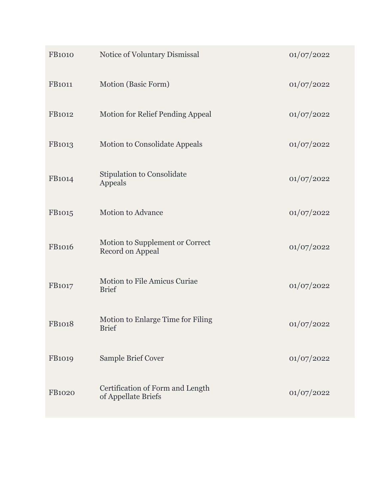| <b>FB1010</b> | Notice of Voluntary Dismissal                           | 01/07/2022 |
|---------------|---------------------------------------------------------|------------|
| <b>FB1011</b> | Motion (Basic Form)                                     | 01/07/2022 |
| <b>FB1012</b> | <b>Motion for Relief Pending Appeal</b>                 | 01/07/2022 |
| <b>FB1013</b> | <b>Motion to Consolidate Appeals</b>                    | 01/07/2022 |
| FB1014        | <b>Stipulation to Consolidate</b><br>Appeals            | 01/07/2022 |
| FB1015        | <b>Motion to Advance</b>                                | 01/07/2022 |
| <b>FB1016</b> | Motion to Supplement or Correct<br>Record on Appeal     | 01/07/2022 |
| FB1017        | Motion to File Amicus Curiae<br><b>Brief</b>            | 01/07/2022 |
| <b>FB1018</b> | Motion to Enlarge Time for Filing<br><b>Brief</b>       | 01/07/2022 |
| FB1019        | Sample Brief Cover                                      | 01/07/2022 |
| <b>FB1020</b> | Certification of Form and Length<br>of Appellate Briefs | 01/07/2022 |